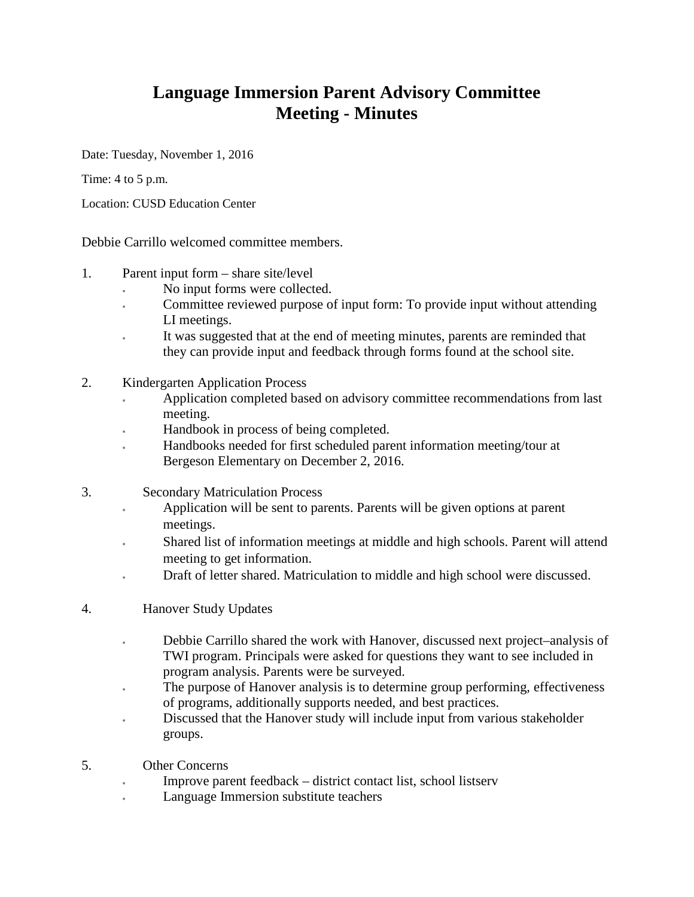## **Language Immersion Parent Advisory Committee Meeting - Minutes**

Date: Tuesday, November 1, 2016

Time: 4 to 5 p.m.

Location: CUSD Education Center

Debbie Carrillo welcomed committee members.

- 1. Parent input form share site/level
	- No input forms were collected.
	- Committee reviewed purpose of input form: To provide input without attending LI meetings.
	- It was suggested that at the end of meeting minutes, parents are reminded that they can provide input and feedback through forms found at the school site.
- 2. Kindergarten Application Process
	- Application completed based on advisory committee recommendations from last meeting.
	- Handbook in process of being completed.
	- Handbooks needed for first scheduled parent information meeting/tour at Bergeson Elementary on December 2, 2016.
- 3. Secondary Matriculation Process
	- Application will be sent to parents. Parents will be given options at parent meetings.
	- Shared list of information meetings at middle and high schools. Parent will attend meeting to get information.
	- Draft of letter shared. Matriculation to middle and high school were discussed.
- 4. Hanover Study Updates
	- Debbie Carrillo shared the work with Hanover, discussed next project–analysis of TWI program. Principals were asked for questions they want to see included in program analysis. Parents were be surveyed.
	- The purpose of Hanover analysis is to determine group performing, effectiveness of programs, additionally supports needed, and best practices.
	- Discussed that the Hanover study will include input from various stakeholder groups.
- 5. Other Concerns
	- Improve parent feedback district contact list, school listserv
	- Language Immersion substitute teachers